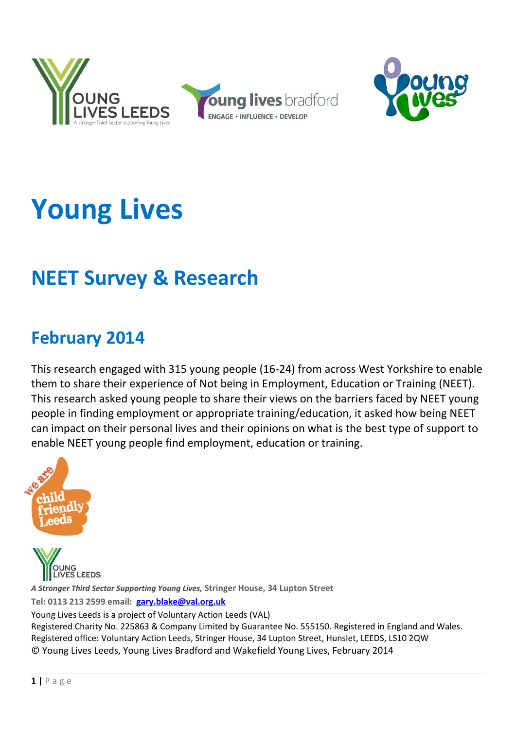



# **Young Lives**

# **NEET Survey & Research**

# **February 2014**

This research engaged with 315 young people (16-24) from across West Yorkshire to enable them to share their experience of Not being in Employment, Education or Training (NEET). This research asked young people to share their views on the barriers faced by NEET young people in finding employment or appropriate training/education, it asked how being NEET can impact on their personal lives and their opinions on what is the best type of support to enable NEET young people find employment, education or training.



**EEDS** *A Stronger Third Sector Supporting Young Lives,* **Stringer House, 34 Lupton Street Tel: 0113 213 2599 email: [gary.blake@val.org.uk](mailto:gary.blake@val.org.uk)** Young Lives Leeds is a project of Voluntary Action Leeds (VAL) Registered Charity No. 225863 & Company Limited by Guarantee No. 555150. Registered in England and Wales.

Registered office: Voluntary Action Leeds, Stringer House, 34 Lupton Street, Hunslet, LEEDS, LS10 2QW © Young Lives Leeds, Young Lives Bradford and Wakefield Young Lives, February 2014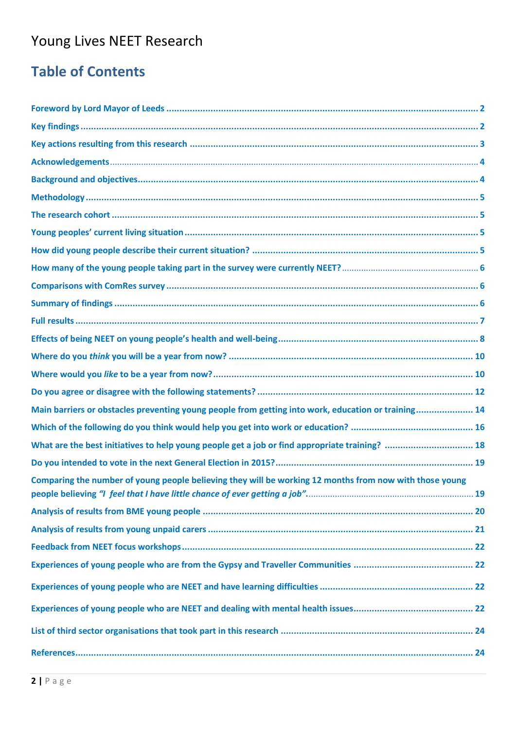# Young Lives NEET Research

# **Table of Contents**

| Main barriers or obstacles preventing young people from getting into work, education or training 14     |
|---------------------------------------------------------------------------------------------------------|
|                                                                                                         |
| What are the best initiatives to help young people get a job or find appropriate training?  18          |
|                                                                                                         |
| Comparing the number of young people believing they will be working 12 months from now with those young |
|                                                                                                         |
|                                                                                                         |
|                                                                                                         |
|                                                                                                         |
|                                                                                                         |
|                                                                                                         |
|                                                                                                         |
|                                                                                                         |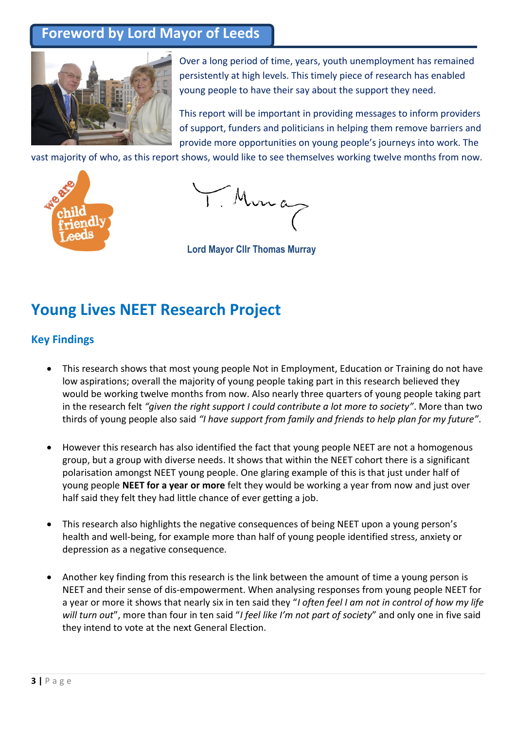### **Foreword by Lord Mayor of Leeds**



Over a long period of time, years, youth unemployment has remained persistently at high levels. This timely piece of research has enabled young people to have their say about the support they need.

This report will be important in providing messages to inform providers of support, funders and politicians in helping them remove barriers and provide more opportunities on young people's journeys into work. The

vast majority of who, as this report shows, would like to see themselves working twelve months from now.



T. Muna

**Lord Mayor Cllr Thomas Murray**

## **Young Lives NEET Research Project**

#### **Key Findings**

- This research shows that most young people Not in Employment, Education or Training do not have low aspirations; overall the majority of young people taking part in this research believed they would be working twelve months from now. Also nearly three quarters of young people taking part in the research felt *"given the right support I could contribute a lot more to society"*. More than two thirds of young people also said *"I have support from family and friends to help plan for my future"*.
- However this research has also identified the fact that young people NEET are not a homogenous group, but a group with diverse needs. It shows that within the NEET cohort there is a significant polarisation amongst NEET young people. One glaring example of this is that just under half of young people **NEET for a year or more** felt they would be working a year from now and just over half said they felt they had little chance of ever getting a job.
- This research also highlights the negative consequences of being NEET upon a young person's health and well-being, for example more than half of young people identified stress, anxiety or depression as a negative consequence.
- Another key finding from this research is the link between the amount of time a young person is NEET and their sense of dis-empowerment. When analysing responses from young people NEET for a year or more it shows that nearly six in ten said they "*I often feel I am not in control of how my life will turn out*", more than four in ten said "*I feel like I'm not part of society*" and only one in five said they intend to vote at the next General Election.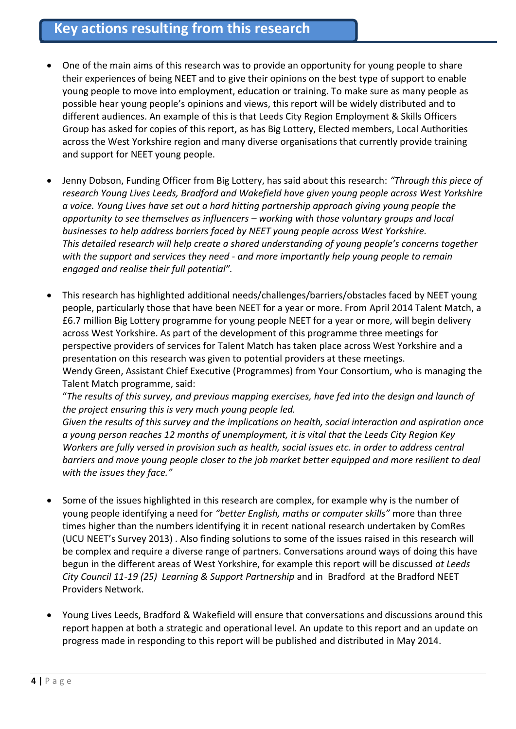### **Key actions resulting from this research**

- One of the main aims of this research was to provide an opportunity for young people to share their experiences of being NEET and to give their opinions on the best type of support to enable young people to move into employment, education or training. To make sure as many people as possible hear young people's opinions and views, this report will be widely distributed and to different audiences. An example of this is that Leeds City Region Employment & Skills Officers Group has asked for copies of this report, as has Big Lottery, Elected members, Local Authorities across the West Yorkshire region and many diverse organisations that currently provide training and support for NEET young people.
- Jenny Dobson, Funding Officer from Big Lottery, has said about this research: *"Through this piece of research Young Lives Leeds, Bradford and Wakefield have given young people across West Yorkshire a voice. Young Lives have set out a hard hitting partnership approach giving young people the opportunity to see themselves as influencers – working with those voluntary groups and local businesses to help address barriers faced by NEET young people across West Yorkshire. This detailed research will help create a shared understanding of young people's concerns together with the support and services they need - and more importantly help young people to remain engaged and realise their full potential".*
- This research has highlighted additional needs/challenges/barriers/obstacles faced by NEET young people, particularly those that have been NEET for a year or more. From April 2014 Talent Match, a £6.7 million Big Lottery programme for young people NEET for a year or more, will begin delivery across West Yorkshire. As part of the development of this programme three meetings for perspective providers of services for Talent Match has taken place across West Yorkshire and a presentation on this research was given to potential providers at these meetings. Wendy Green, Assistant Chief Executive (Programmes) from Your Consortium, who is managing the Talent Match programme, said:

"*The results of this survey, and previous mapping exercises, have fed into the design and launch of the project ensuring this is very much young people led.* 

*Given the results of this survey and the implications on health, social interaction and aspiration once a young person reaches 12 months of unemployment, it is vital that the Leeds City Region Key Workers are fully versed in provision such as health, social issues etc. in order to address central barriers and move young people closer to the job market better equipped and more resilient to deal with the issues they face."*

- Some of the issues highlighted in this research are complex, for example why is the number of young people identifying a need for *"better English, maths or computer skills"* more than three times higher than the numbers identifying it in recent national research undertaken by ComRes (UCU NEET's Survey 2013) . Also finding solutions to some of the issues raised in this research will be complex and require a diverse range of partners. Conversations around ways of doing this have begun in the different areas of West Yorkshire, for example this report will be discussed *at Leeds City Council 11-19 (25) Learning & Support Partnership* and in Bradford at the Bradford NEET Providers Network.
- Young Lives Leeds, Bradford & Wakefield will ensure that conversations and discussions around this report happen at both a strategic and operational level. An update to this report and an update on progress made in responding to this report will be published and distributed in May 2014.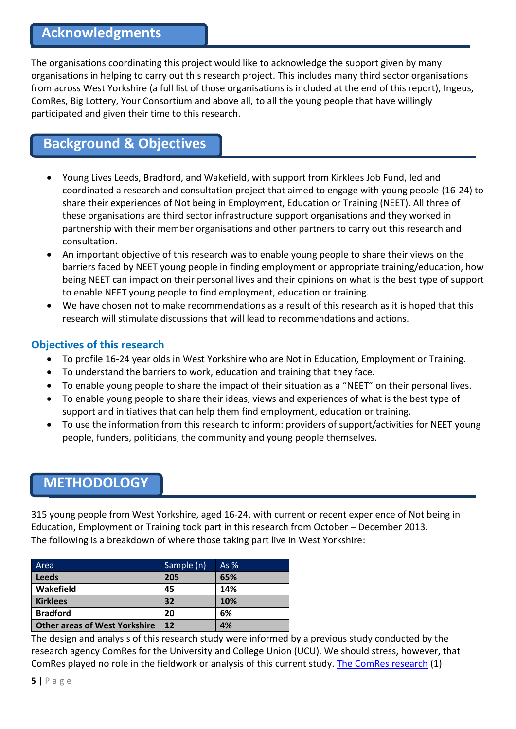The organisations coordinating this project would like to acknowledge the support given by many organisations in helping to carry out this research project. This includes many third sector organisations from across West Yorkshire (a full list of those organisations is included at the end of this report), Ingeus, ComRes, Big Lottery, Your Consortium and above all, to all the young people that have willingly participated and given their time to this research.

### **Background & Objectives**

- Young Lives Leeds, Bradford, and Wakefield, with support from Kirklees Job Fund, led and coordinated a research and consultation project that aimed to engage with young people (16-24) to share their experiences of Not being in Employment, Education or Training (NEET). All three of these organisations are third sector infrastructure support organisations and they worked in partnership with their member organisations and other partners to carry out this research and consultation.
- An important objective of this research was to enable young people to share their views on the barriers faced by NEET young people in finding employment or appropriate training/education, how being NEET can impact on their personal lives and their opinions on what is the best type of support to enable NEET young people to find employment, education or training.
- We have chosen not to make recommendations as a result of this research as it is hoped that this research will stimulate discussions that will lead to recommendations and actions.

#### **Objectives of this research**

- To profile 16-24 year olds in West Yorkshire who are Not in Education, Employment or Training.
- To understand the barriers to work, education and training that they face.
- To enable young people to share the impact of their situation as a "NEET" on their personal lives.
- To enable young people to share their ideas, views and experiences of what is the best type of support and initiatives that can help them find employment, education or training.
- To use the information from this research to inform: providers of support/activities for NEET young people, funders, politicians, the community and young people themselves.

#### **METHODOLOGY**

315 young people from West Yorkshire, aged 16-24, with current or recent experience of Not being in Education, Employment or Training took part in this research from October – December 2013. The following is a breakdown of where those taking part live in West Yorkshire:

| Area                                 | Sample (n) | As $%$ |
|--------------------------------------|------------|--------|
| <b>Leeds</b>                         | 205        | 65%    |
| Wakefield                            | 45         | 14%    |
| <b>Kirklees</b>                      | 32         | 10%    |
| <b>Bradford</b>                      | 20         | 6%     |
| <b>Other areas of West Yorkshire</b> | 12         | 4%     |

The design and analysis of this research study were informed by a previous study conducted by the research agency ComRes for the University and College Union (UCU). We should stress, however, that ComRes played no role in the fieldwork or analysis of this current study[. The ComRes research](http://www.comres.co.uk/poll/963/ucu-neets-survey.htm) (1)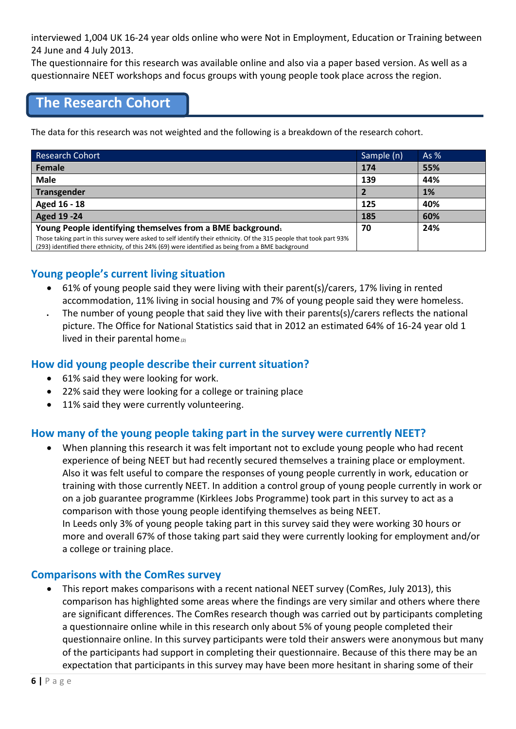interviewed 1,004 UK 16-24 year olds online who were Not in Employment, Education or Training between 24 June and 4 July 2013.

The questionnaire for this research was available online and also via a paper based version. As well as a questionnaire NEET workshops and focus groups with young people took place across the region.

### **The Research Cohort**

The data for this research was not weighted and the following is a breakdown of the research cohort.

| Research Cohort                                                                                                                                                                                                         | Sample (n) | As $%$ |
|-------------------------------------------------------------------------------------------------------------------------------------------------------------------------------------------------------------------------|------------|--------|
| Female                                                                                                                                                                                                                  | 174        | 55%    |
| <b>Male</b>                                                                                                                                                                                                             | 139        | 44%    |
| <b>Transgender</b>                                                                                                                                                                                                      |            | 1%     |
| Aged 16 - 18                                                                                                                                                                                                            | 125        | 40%    |
| <b>Aged 19 -24</b>                                                                                                                                                                                                      | 185        | 60%    |
| Young People identifying themselves from a BME background.                                                                                                                                                              | 70         | 24%    |
| Those taking part in this survey were asked to self identify their ethnicity. Of the 315 people that took part 93%<br>(293) identified there ethnicity, of this 24% (69) were identified as being from a BME background |            |        |

#### **Young people's current living situation**

- 61% of young people said they were living with their parent(s)/carers, 17% living in rented accommodation, 11% living in social housing and 7% of young people said they were homeless.
- The number of young people that said they live with their parents(s)/carers reflects the national picture. The Office for National Statistics said that in 2012 an estimated 64% of 16-24 year old 1 lived in their parental home. $(2)$

#### **How did young people describe their current situation?**

- 61% said they were looking for work.
- 22% said they were looking for a college or training place
- 11% said they were currently volunteering.

#### **How many of the young people taking part in the survey were currently NEET?**

 When planning this research it was felt important not to exclude young people who had recent experience of being NEET but had recently secured themselves a training place or employment. Also it was felt useful to compare the responses of young people currently in work, education or training with those currently NEET. In addition a control group of young people currently in work or on a job guarantee programme (Kirklees Jobs Programme) took part in this survey to act as a comparison with those young people identifying themselves as being NEET. In Leeds only 3% of young people taking part in this survey said they were working 30 hours or more and overall 67% of those taking part said they were currently looking for employment and/or a college or training place.

#### **Comparisons with the ComRes survey**

 This report makes comparisons with a recent national NEET survey (ComRes, July 2013), this comparison has highlighted some areas where the findings are very similar and others where there are significant differences. The ComRes research though was carried out by participants completing a questionnaire online while in this research only about 5% of young people completed their questionnaire online. In this survey participants were told their answers were anonymous but many of the participants had support in completing their questionnaire. Because of this there may be an expectation that participants in this survey may have been more hesitant in sharing some of their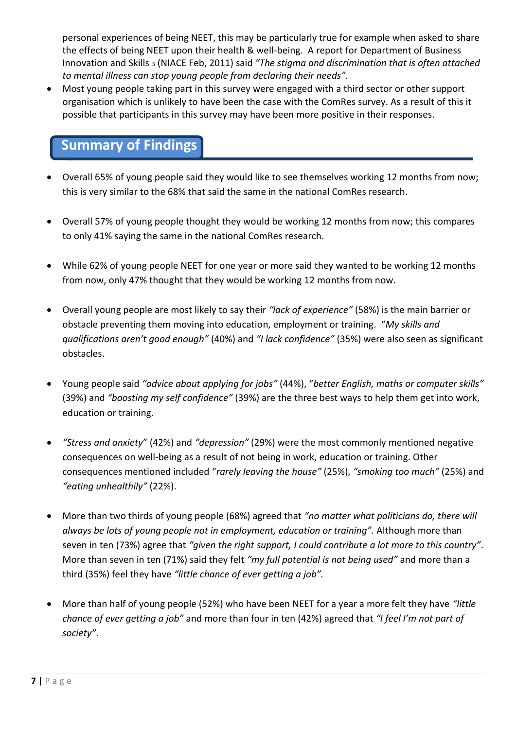personal experiences of being NEET, this may be particularly true for example when asked to share the effects of being NEET upon their health & well-being. A report for Department of Business Innovation and Skills <sup>3</sup> (NIACE Feb, 2011) said *"The stigma and discrimination that is often attached to mental illness can stop young people from declaring their needs".*

 Most young people taking part in this survey were engaged with a third sector or other support organisation which is unlikely to have been the case with the ComRes survey. As a result of this it possible that participants in this survey may have been more positive in their responses.

#### **Summary of Findings**

- Overall 65% of young people said they would like to see themselves working 12 months from now; this is very similar to the 68% that said the same in the national ComRes research.
- Overall 57% of young people thought they would be working 12 months from now; this compares to only 41% saying the same in the national ComRes research.
- While 62% of young people NEET for one year or more said they wanted to be working 12 months from now, only 47% thought that they would be working 12 months from now.
- Overall young people are most likely to say their *"lack of experience"* (58%) is the main barrier or obstacle preventing them moving into education, employment or training. "*My skills and qualifications aren't good enough"* (40%) and *"I lack confidence"* (35%) were also seen as significant obstacles.
- Young people said *"advice about applying for jobs"* (44%), "*better English, maths or computer skills"* (39%) and *"boosting my self confidence"* (39%) are the three best ways to help them get into work, education or training.
- *"Stress and anxiety*" (42%) and *"depression"* (29%) were the most commonly mentioned negative consequences on well-being as a result of not being in work, education or training. Other consequences mentioned included "*rarely leaving the house"* (25%), *"smoking too much"* (25%) and *"eating unhealthily"* (22%).
- More than two thirds of young people (68%) agreed that *"no matter what politicians do, there will always be lots of young people not in employment, education or training".* Although more than seven in ten (73%) agree that *"given the right support, I could contribute a lot more to this country"*. More than seven in ten (71%) said they felt *"my full potential is not being used"* and more than a third (35%) feel they have *"little chance of ever getting a job".*
- More than half of young people (52%) who have been NEET for a year a more felt they have *"little chance of ever getting a job"* and more than four in ten (42%) agreed that *"I feel I'm not part of society"*.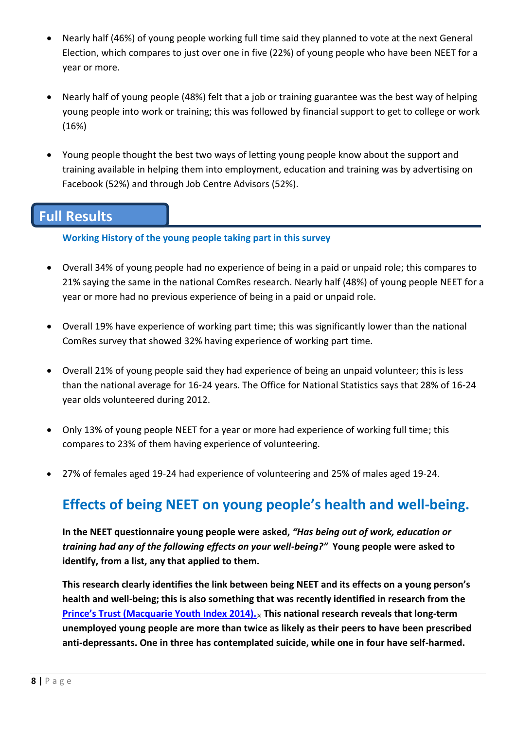- Nearly half (46%) of young people working full time said they planned to vote at the next General Election, which compares to just over one in five (22%) of young people who have been NEET for a year or more.
- Nearly half of young people (48%) felt that a job or training guarantee was the best way of helping young people into work or training; this was followed by financial support to get to college or work (16%)
- Young people thought the best two ways of letting young people know about the support and training available in helping them into employment, education and training was by advertising on Facebook (52%) and through Job Centre Advisors (52%).

### **Full Results**

#### **Working History of the young people taking part in this survey**

- Overall 34% of young people had no experience of being in a paid or unpaid role; this compares to 21% saying the same in the national ComRes research. Nearly half (48%) of young people NEET for a year or more had no previous experience of being in a paid or unpaid role.
- Overall 19% have experience of working part time; this was significantly lower than the national ComRes survey that showed 32% having experience of working part time.
- Overall 21% of young people said they had experience of being an unpaid volunteer; this is less than the national average for 16-24 years. The Office for National Statistics says that 28% of 16-24 year olds volunteered during 2012.
- Only 13% of young people NEET for a year or more had experience of working full time; this compares to 23% of them having experience of volunteering.
- 27% of females aged 19-24 had experience of volunteering and 25% of males aged 19-24.

### **Effects of being NEET on young people's health and well-being.**

**In the NEET questionnaire young people were asked,** *"Has being out of work, education or training had any of the following effects on your well-being?"* **Young people were asked to identify, from a list, any that applied to them.**

**This research clearly identifies the link between being NEET and its effects on a young person's health and well-being; this is also something that was recently identified in research from the [Prince's Trust \(Macquarie Youth Index 2014\).](http://www.princes-trust.org.uk/PDF/YOUTH_INDEX_2014.pdf)**(5) **This national research reveals that long-term unemployed young people are more than twice as likely as their peers to have been prescribed anti-depressants. One in three has contemplated suicide, while one in four have self-harmed.**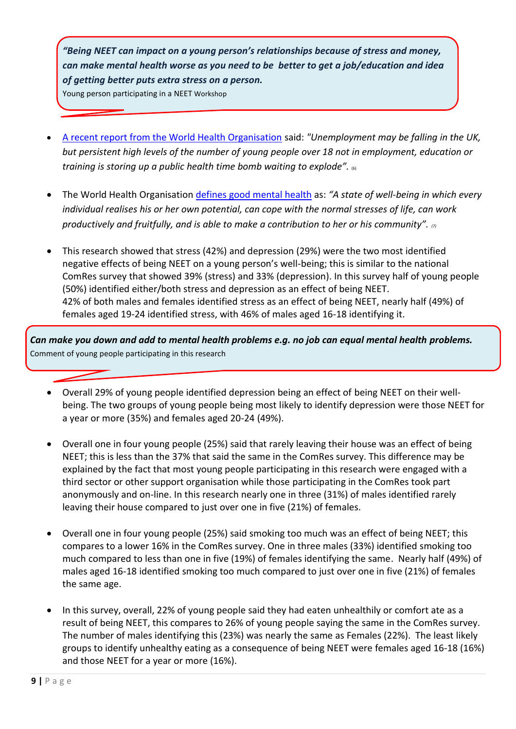*"Being NEET can impact on a young person's relationships because of stress and money, can make mental health worse as you need to be better to get a job/education and idea of getting better puts extra stress on a person.*

Young person participating in a NEET Workshop

- [A recent report from the World Health Organisation](http://www.bbc.co.uk/news/health-24745612) said: *"Unemployment may be falling in the UK, but persistent high levels of the number of young people over 18 not in employment, education or training is storing up a public health time bomb waiting to explode".* (6)
- The World Health Organisation [defines good mental health](http://www.who.int/features/factfiles/mental_health/en/) as: *"A state of well-being in which every individual realises his or her own potential, can cope with the normal stresses of life, can work productively and fruitfully, and is able to make a contribution to her or his community". (7)*
- This research showed that stress (42%) and depression (29%) were the two most identified negative effects of being NEET on a young person's well-being; this is similar to the national ComRes survey that showed 39% (stress) and 33% (depression). In this survey half of young people (50%) identified either/both stress and depression as an effect of being NEET. 42% of both males and females identified stress as an effect of being NEET, nearly half (49%) of females aged 19-24 identified stress, with 46% of males aged 16-18 identifying it.

*Can make you down and add to mental health problems e.g. no job can equal mental health problems.* Comment of young people participating in this research

- Overall 29% of young people identified depression being an effect of being NEET on their wellbeing. The two groups of young people being most likely to identify depression were those NEET for a year or more (35%) and females aged 20-24 (49%).
- Overall one in four young people (25%) said that rarely leaving their house was an effect of being NEET; this is less than the 37% that said the same in the ComRes survey. This difference may be explained by the fact that most young people participating in this research were engaged with a third sector or other support organisation while those participating in the ComRes took part anonymously and on-line. In this research nearly one in three (31%) of males identified rarely leaving their house compared to just over one in five (21%) of females.
- Overall one in four young people (25%) said smoking too much was an effect of being NEET; this compares to a lower 16% in the ComRes survey. One in three males (33%) identified smoking too much compared to less than one in five (19%) of females identifying the same. Nearly half (49%) of males aged 16-18 identified smoking too much compared to just over one in five (21%) of females the same age.
- In this survey, overall, 22% of young people said they had eaten unhealthily or comfort ate as a result of being NEET, this compares to 26% of young people saying the same in the ComRes survey. The number of males identifying this (23%) was nearly the same as Females (22%). The least likely groups to identify unhealthy eating as a consequence of being NEET were females aged 16-18 (16%) and those NEET for a year or more (16%).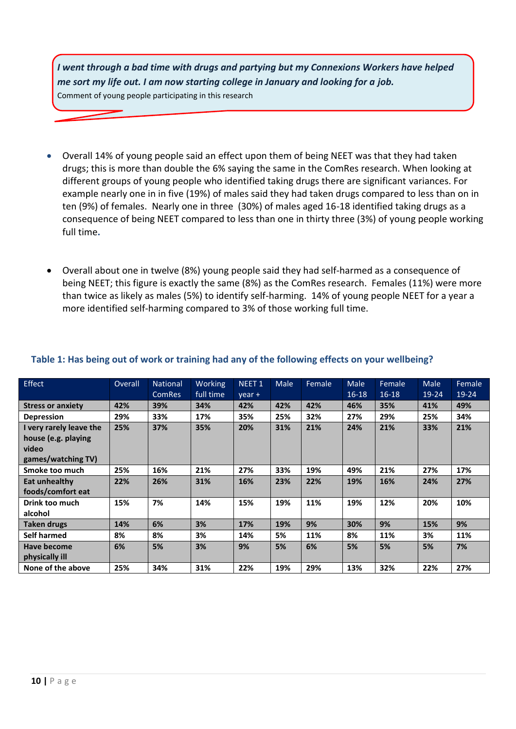*I went through a bad time with drugs and partying but my Connexions Workers have helped me sort my life out. I am now starting college in January and looking for a job.* Comment of young people participating in this research

- Overall 14% of young people said an effect upon them of being NEET was that they had taken drugs; this is more than double the 6% saying the same in the ComRes research. When looking at different groups of young people who identified taking drugs there are significant variances. For example nearly one in in five (19%) of males said they had taken drugs compared to less than on in ten (9%) of females. Nearly one in three (30%) of males aged 16-18 identified taking drugs as a consequence of being NEET compared to less than one in thirty three (3%) of young people working full time**.**
- Overall about one in twelve (8%) young people said they had self-harmed as a consequence of being NEET; this figure is exactly the same (8%) as the ComRes research. Females (11%) were more than twice as likely as males (5%) to identify self-harming. 14% of young people NEET for a year a more identified self-harming compared to 3% of those working full time.

| Effect                   | Overall | <b>National</b><br><b>ComRes</b> | Working<br>full time | NEET <sub>1</sub><br>$year +$ | Male | Female | <b>Male</b><br>$16 - 18$ | Female<br>$16 - 18$ | <b>Male</b><br>$19 - 24$ | Female<br>$19 - 24$ |
|--------------------------|---------|----------------------------------|----------------------|-------------------------------|------|--------|--------------------------|---------------------|--------------------------|---------------------|
| <b>Stress or anxiety</b> | 42%     | 39%                              | 34%                  | 42%                           | 42%  | 42%    | 46%                      | 35%                 | 41%                      | 49%                 |
| <b>Depression</b>        | 29%     | 33%                              | 17%                  | 35%                           | 25%  | 32%    | 27%                      | 29%                 | 25%                      | 34%                 |
| I very rarely leave the  | 25%     | 37%                              | 35%                  | 20%                           | 31%  | 21%    | 24%                      | 21%                 | 33%                      | 21%                 |
| house (e.g. playing      |         |                                  |                      |                               |      |        |                          |                     |                          |                     |
| video                    |         |                                  |                      |                               |      |        |                          |                     |                          |                     |
| games/watching TV)       |         |                                  |                      |                               |      |        |                          |                     |                          |                     |
| Smoke too much           | 25%     | 16%                              | 21%                  | 27%                           | 33%  | 19%    | 49%                      | 21%                 | 27%                      | 17%                 |
| Eat unhealthy            | 22%     | 26%                              | 31%                  | 16%                           | 23%  | 22%    | 19%                      | 16%                 | 24%                      | 27%                 |
| foods/comfort eat        |         |                                  |                      |                               |      |        |                          |                     |                          |                     |
| Drink too much           | 15%     | 7%                               | 14%                  | 15%                           | 19%  | 11%    | 19%                      | 12%                 | 20%                      | 10%                 |
| alcohol                  |         |                                  |                      |                               |      |        |                          |                     |                          |                     |
| Taken drugs              | 14%     | 6%                               | 3%                   | 17%                           | 19%  | 9%     | 30%                      | 9%                  | 15%                      | 9%                  |
| Self harmed              | 8%      | 8%                               | 3%                   | 14%                           | 5%   | 11%    | 8%                       | 11%                 | 3%                       | 11%                 |
| Have become              | 6%      | 5%                               | 3%                   | 9%                            | 5%   | 6%     | 5%                       | 5%                  | 5%                       | 7%                  |
| physically ill           |         |                                  |                      |                               |      |        |                          |                     |                          |                     |
| None of the above        | 25%     | 34%                              | 31%                  | 22%                           | 19%  | 29%    | 13%                      | 32%                 | 22%                      | 27%                 |

#### **Table 1: Has being out of work or training had any of the following effects on your wellbeing?**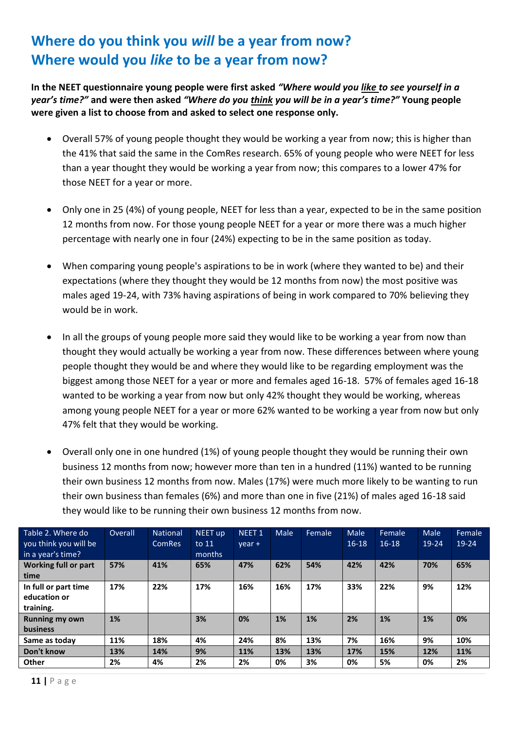### **Where do you think you** *will* **be a year from now? Where would you** *like* **to be a year from now?**

**In the NEET questionnaire young people were first asked** *"Where would you like to see yourself in a year's time?"* **and were then asked** *"Where do you think you will be in a year's time?"* **Young people were given a list to choose from and asked to select one response only.**

- Overall 57% of young people thought they would be working a year from now; this is higher than the 41% that said the same in the ComRes research. 65% of young people who were NEET for less than a year thought they would be working a year from now; this compares to a lower 47% for those NEET for a year or more.
- Only one in 25 (4%) of young people, NEET for less than a year, expected to be in the same position 12 months from now. For those young people NEET for a year or more there was a much higher percentage with nearly one in four (24%) expecting to be in the same position as today.
- When comparing young people's aspirations to be in work (where they wanted to be) and their expectations (where they thought they would be 12 months from now) the most positive was males aged 19-24, with 73% having aspirations of being in work compared to 70% believing they would be in work.
- In all the groups of young people more said they would like to be working a year from now than thought they would actually be working a year from now. These differences between where young people thought they would be and where they would like to be regarding employment was the biggest among those NEET for a year or more and females aged 16-18. 57% of females aged 16-18 wanted to be working a year from now but only 42% thought they would be working, whereas among young people NEET for a year or more 62% wanted to be working a year from now but only 47% felt that they would be working.
- Overall only one in one hundred (1%) of young people thought they would be running their own business 12 months from now; however more than ten in a hundred (11%) wanted to be running their own business 12 months from now. Males (17%) were much more likely to be wanting to run their own business than females (6%) and more than one in five (21%) of males aged 16-18 said they would like to be running their own business 12 months from now.

| Table 2. Where do<br>you think you will be<br>in a year's time? | Overall | <b>National</b><br><b>ComRes</b> | NEET up<br>to 11<br>months | NEET <sub>1</sub><br>$year +$ | Male | Female | Male<br>$16 - 18$ | Female<br>$16 - 18$ | Male<br>19-24 | Female<br>19-24 |
|-----------------------------------------------------------------|---------|----------------------------------|----------------------------|-------------------------------|------|--------|-------------------|---------------------|---------------|-----------------|
| <b>Working full or part</b><br>time                             | 57%     | 41%                              | 65%                        | 47%                           | 62%  | 54%    | 42%               | 42%                 | 70%           | 65%             |
| In full or part time<br>education or<br>training.               | 17%     | 22%                              | 17%                        | 16%                           | 16%  | 17%    | 33%               | 22%                 | 9%            | 12%             |
| <b>Running my own</b><br><b>business</b>                        | 1%      |                                  | 3%                         | 0%                            | 1%   | 1%     | 2%                | 1%                  | 1%            | 0%              |
| Same as today                                                   | 11%     | 18%                              | 4%                         | 24%                           | 8%   | 13%    | 7%                | 16%                 | 9%            | 10%             |
| Don't know                                                      | 13%     | 14%                              | 9%                         | 11%                           | 13%  | 13%    | 17%               | 15%                 | 12%           | 11%             |
| <b>Other</b>                                                    | 2%      | 4%                               | 2%                         | 2%                            | 0%   | 3%     | 0%                | 5%                  | 0%            | 2%              |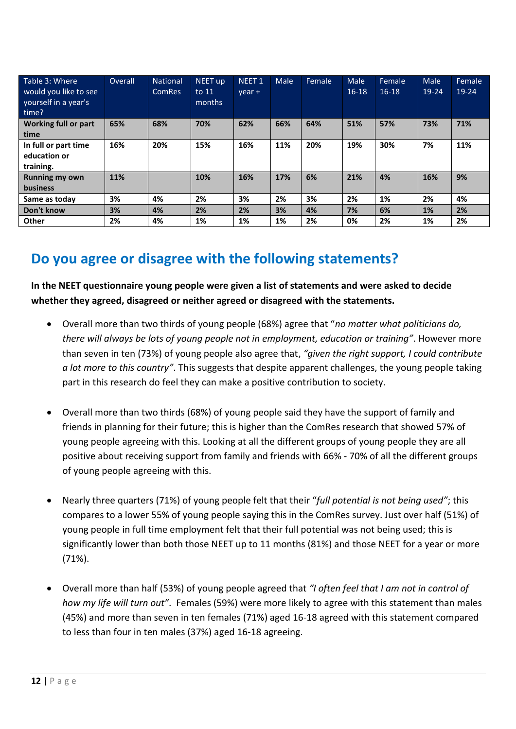| Table 3: Where<br>would you like to see<br>yourself in a year's<br>time? | <b>Overall</b> | <b>National</b><br><b>ComRes</b> | NEET up<br>to 11<br>months | NEET <sub>1</sub><br>$year +$ | Male | Female | Male<br>$16-18$ | <b>Female</b><br>$16 - 18$ | Male<br>$19 - 24$ | Female<br>$19 - 24$ |
|--------------------------------------------------------------------------|----------------|----------------------------------|----------------------------|-------------------------------|------|--------|-----------------|----------------------------|-------------------|---------------------|
| Working full or part<br>time                                             | 65%            | 68%                              | 70%                        | 62%                           | 66%  | 64%    | 51%             | 57%                        | 73%               | 71%                 |
| In full or part time<br>education or<br>training.                        | 16%            | 20%                              | 15%                        | 16%                           | 11%  | 20%    | 19%             | 30%                        | 7%                | 11%                 |
| <b>Running my own</b><br><b>business</b>                                 | 11%            |                                  | 10%                        | 16%                           | 17%  | 6%     | 21%             | 4%                         | 16%               | 9%                  |
| Same as today                                                            | 3%             | 4%                               | 2%                         | 3%                            | 2%   | 3%     | 2%              | 1%                         | 2%                | 4%                  |
| Don't know                                                               | 3%             | 4%                               | 2%                         | 2%                            | 3%   | 4%     | 7%              | 6%                         | 1%                | 2%                  |
| Other                                                                    | 2%             | 4%                               | 1%                         | 1%                            | 1%   | 2%     | 0%              | 2%                         | 1%                | 2%                  |

### **Do you agree or disagree with the following statements?**

**In the NEET questionnaire young people were given a list of statements and were asked to decide whether they agreed, disagreed or neither agreed or disagreed with the statements.** 

- Overall more than two thirds of young people (68%) agree that "*no matter what politicians do, there will always be lots of young people not in employment, education or training"*. However more than seven in ten (73%) of young people also agree that, *"given the right support, I could contribute a lot more to this country"*. This suggests that despite apparent challenges, the young people taking part in this research do feel they can make a positive contribution to society.
- Overall more than two thirds (68%) of young people said they have the support of family and friends in planning for their future; this is higher than the ComRes research that showed 57% of young people agreeing with this. Looking at all the different groups of young people they are all positive about receiving support from family and friends with 66% - 70% of all the different groups of young people agreeing with this.
- Nearly three quarters (71%) of young people felt that their "*full potential is not being used"*; this compares to a lower 55% of young people saying this in the ComRes survey. Just over half (51%) of young people in full time employment felt that their full potential was not being used; this is significantly lower than both those NEET up to 11 months (81%) and those NEET for a year or more (71%).
- Overall more than half (53%) of young people agreed that *"I often feel that I am not in control of how my life will turn out"*. Females (59%) were more likely to agree with this statement than males (45%) and more than seven in ten females (71%) aged 16-18 agreed with this statement compared to less than four in ten males (37%) aged 16-18 agreeing.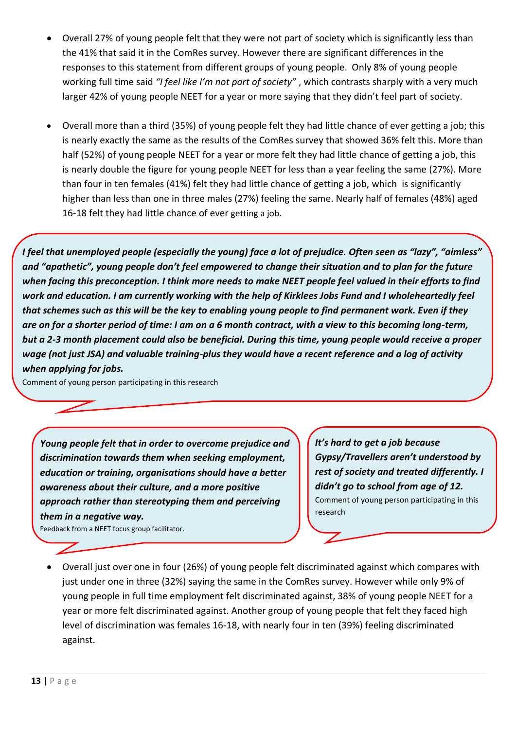- Overall 27% of young people felt that they were not part of society which is significantly less than the 41% that said it in the ComRes survey. However there are significant differences in the responses to this statement from different groups of young people. Only 8% of young people working full time said *"I feel like I'm not part of society"* , which contrasts sharply with a very much larger 42% of young people NEET for a year or more saying that they didn't feel part of society.
- Overall more than a third (35%) of young people felt they had little chance of ever getting a job; this is nearly exactly the same as the results of the ComRes survey that showed 36% felt this. More than half (52%) of young people NEET for a year or more felt they had little chance of getting a job, this is nearly double the figure for young people NEET for less than a year feeling the same (27%). More than four in ten females (41%) felt they had little chance of getting a job, which is significantly higher than less than one in three males (27%) feeling the same. Nearly half of females (48%) aged 16-18 felt they had little chance of ever getting a job.

*I feel that unemployed people (especially the young) face a lot of prejudice. Often seen as "lazy", "aimless" and "apathetic", young people don't feel empowered to change their situation and to plan for the future when facing this preconception. I think more needs to make NEET people feel valued in their efforts to find work and education. I am currently working with the help of Kirklees Jobs Fund and I wholeheartedly feel that schemes such as this will be the key to enabling young people to find permanent work. Even if they are on for a shorter period of time: I am on a 6 month contract, with a view to this becoming long-term, but a 2-3 month placement could also be beneficial. During this time, young people would receive a proper wage (not just JSA) and valuable training-plus they would have a recent reference and a log of activity when applying for jobs.*

Comment of young person participating in this research

*Young people felt that in order to overcome prejudice and discrimination towards them when seeking employment, education or training, organisations should have a better awareness about their culture, and a more positive approach rather than stereotyping them and perceiving them in a negative way.*

Feedback from a NEET focus group facilitator.

*It's hard to get a job because Gypsy/Travellers aren't understood by rest of society and treated differently. I didn't go to school from age of 12.* Comment of young person participating in this research

 Overall just over one in four (26%) of young people felt discriminated against which compares with just under one in three (32%) saying the same in the ComRes survey. However while only 9% of young people in full time employment felt discriminated against, 38% of young people NEET for a year or more felt discriminated against. Another group of young people that felt they faced high level of discrimination was females 16-18, with nearly four in ten (39%) feeling discriminated against.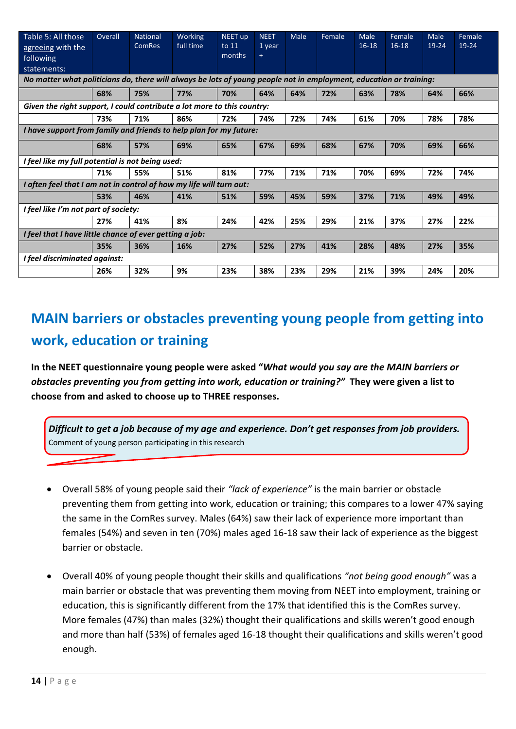| Table 5: All those                                                      | Overall                                                                                                            | <b>National</b> | Working   | <b>NEET up</b> | <b>NEET</b> | <b>Male</b> | Female | Male      | Female  | Male  | Female |
|-------------------------------------------------------------------------|--------------------------------------------------------------------------------------------------------------------|-----------------|-----------|----------------|-------------|-------------|--------|-----------|---------|-------|--------|
| agreeing with the                                                       |                                                                                                                    | <b>ComRes</b>   | full time | to 11          | 1 year      |             |        | $16 - 18$ | $16-18$ | 19-24 | 19-24  |
| following                                                               |                                                                                                                    |                 |           | months         | $\ddot{}$   |             |        |           |         |       |        |
| statements:                                                             |                                                                                                                    |                 |           |                |             |             |        |           |         |       |        |
|                                                                         | No matter what politicians do, there will always be lots of young people not in employment, education or training: |                 |           |                |             |             |        |           |         |       |        |
|                                                                         | 68%                                                                                                                | 75%             | 77%       | 70%            | 64%         | 64%         | 72%    | 63%       | 78%     | 64%   | 66%    |
| Given the right support, I could contribute a lot more to this country: |                                                                                                                    |                 |           |                |             |             |        |           |         |       |        |
|                                                                         | 73%                                                                                                                | 71%             | 86%       | 72%            | 74%         | 72%         | 74%    | 61%       | 70%     | 78%   | 78%    |
| I have support from family and friends to help plan for my future:      |                                                                                                                    |                 |           |                |             |             |        |           |         |       |        |
|                                                                         | 68%                                                                                                                | 57%             | 69%       | 65%            | 67%         | 69%         | 68%    | 67%       | 70%     | 69%   | 66%    |
| I feel like my full potential is not being used:                        |                                                                                                                    |                 |           |                |             |             |        |           |         |       |        |
|                                                                         | 71%                                                                                                                | 55%             | 51%       | 81%            | 77%         | 71%         | 71%    | 70%       | 69%     | 72%   | 74%    |
| I often feel that I am not in control of how my life will turn out:     |                                                                                                                    |                 |           |                |             |             |        |           |         |       |        |
|                                                                         | 53%                                                                                                                | 46%             | 41%       | 51%            | 59%         | 45%         | 59%    | 37%       | 71%     | 49%   | 49%    |
| I feel like I'm not part of society:                                    |                                                                                                                    |                 |           |                |             |             |        |           |         |       |        |
|                                                                         | 27%                                                                                                                | 41%             | 8%        | 24%            | 42%         | 25%         | 29%    | 21%       | 37%     | 27%   | 22%    |
| I feel that I have little chance of ever getting a job:                 |                                                                                                                    |                 |           |                |             |             |        |           |         |       |        |
|                                                                         | 35%                                                                                                                | 36%             | 16%       | 27%            | 52%         | 27%         | 41%    | 28%       | 48%     | 27%   | 35%    |
| I feel discriminated against:                                           |                                                                                                                    |                 |           |                |             |             |        |           |         |       |        |
|                                                                         | 26%                                                                                                                | 32%             | 9%        | 23%            | 38%         | 23%         | 29%    | 21%       | 39%     | 24%   | 20%    |

# **MAIN barriers or obstacles preventing young people from getting into work, education or training**

**In the NEET questionnaire young people were asked "***What would you say are the MAIN barriers or obstacles preventing you from getting into work, education or training?"* **They were given a list to choose from and asked to choose up to THREE responses.**

*Difficult to get a job because of my age and experience. Don't get responses from job providers.* Comment of young person participating in this research

- Overall 58% of young people said their *"lack of experience"* is the main barrier or obstacle preventing them from getting into work, education or training; this compares to a lower 47% saying the same in the ComRes survey. Males (64%) saw their lack of experience more important than females (54%) and seven in ten (70%) males aged 16-18 saw their lack of experience as the biggest barrier or obstacle.
- Overall 40% of young people thought their skills and qualifications *"not being good enough"* was a main barrier or obstacle that was preventing them moving from NEET into employment, training or education, this is significantly different from the 17% that identified this is the ComRes survey. More females (47%) than males (32%) thought their qualifications and skills weren't good enough and more than half (53%) of females aged 16-18 thought their qualifications and skills weren't good enough.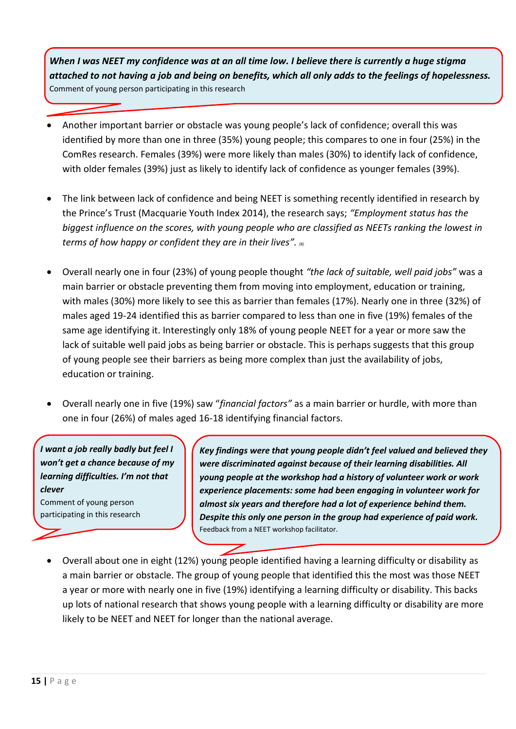*When I was NEET my confidence was at an all time low. I believe there is currently a huge stigma attached to not having a job and being on benefits, which all only adds to the feelings of hopelessness.*  Comment of young person participating in this research

- Another important barrier or obstacle was young people's lack of confidence; overall this was identified by more than one in three (35%) young people; this compares to one in four (25%) in the ComRes research. Females (39%) were more likely than males (30%) to identify lack of confidence, with older females (39%) just as likely to identify lack of confidence as younger females (39%).
- The link between lack of confidence and being NEET is something recently identified in research by the Prince's Trust (Macquarie Youth Index 2014), the research says; *"Employment status has the biggest influence on the scores, with young people who are classified as NEETs ranking the lowest in terms of how happy or confident they are in their lives". (8)*
- Overall nearly one in four (23%) of young people thought *"the lack of suitable, well paid jobs"* was a main barrier or obstacle preventing them from moving into employment, education or training, with males (30%) more likely to see this as barrier than females (17%). Nearly one in three (32%) of males aged 19-24 identified this as barrier compared to less than one in five (19%) females of the same age identifying it. Interestingly only 18% of young people NEET for a year or more saw the lack of suitable well paid jobs as being barrier or obstacle. This is perhaps suggests that this group of young people see their barriers as being more complex than just the availability of jobs, education or training.
- Overall nearly one in five (19%) saw "*financial factors"* as a main barrier or hurdle, with more than one in four (26%) of males aged 16-18 identifying financial factors.

*I want a job really badly but feel I won't get a chance because of my learning difficulties. I'm not that clever* Comment of young person

participating in this research

*Key findings were that young people didn't feel valued and believed they were discriminated against because of their learning disabilities. All young people at the workshop had a history of volunteer work or work experience placements: some had been engaging in volunteer work for almost six years and therefore had a lot of experience behind them. Despite this only one person in the group had experience of paid work.* Feedback from a NEET workshop facilitator.

 Overall about one in eight (12%) young people identified having a learning difficulty or disability as a main barrier or obstacle. The group of young people that identified this the most was those NEET a year or more with nearly one in five (19%) identifying a learning difficulty or disability. This backs up lots of national research that shows young people with a learning difficulty or disability are more likely to be NEET and NEET for longer than the national average.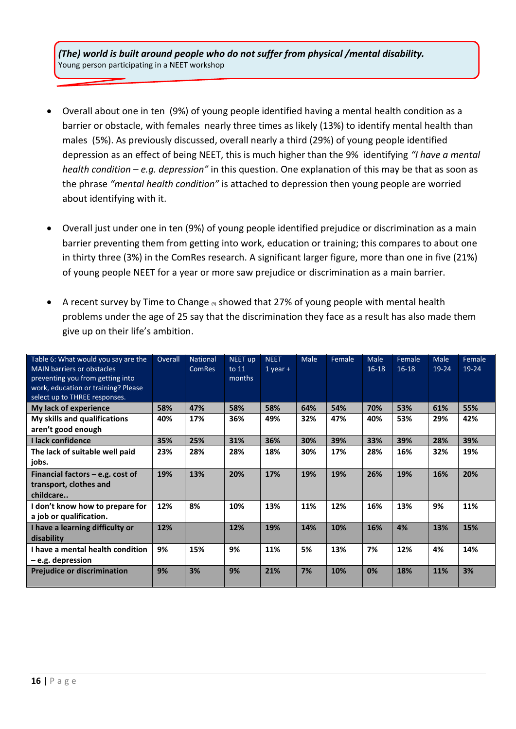*(The) world is built around people who do not suffer from physical /mental disability.* Young person participating in a NEET workshop

- Overall about one in ten (9%) of young people identified having a mental health condition as a barrier or obstacle, with females nearly three times as likely (13%) to identify mental health than males (5%). As previously discussed, overall nearly a third (29%) of young people identified depression as an effect of being NEET, this is much higher than the 9% identifying *"I have a mental health condition – e.g. depression"* in this question. One explanation of this may be that as soon as the phrase *"mental health condition"* is attached to depression then young people are worried about identifying with it.
- Overall just under one in ten (9%) of young people identified prejudice or discrimination as a main barrier preventing them from getting into work, education or training; this compares to about one in thirty three (3%) in the ComRes research. A significant larger figure, more than one in five (21%) of young people NEET for a year or more saw prejudice or discrimination as a main barrier.
- A recent survey by Time to Change  $\Theta$  showed that 27% of young people with mental health problems under the age of 25 say that the discrimination they face as a result has also made them give up on their life's ambition.

| Table 6: What would you say are the<br><b>MAIN barriers or obstacles</b><br>preventing you from getting into<br>work, education or training? Please<br>select up to THREE responses. | Overall | National<br><b>ComRes</b> | NEET up<br>to 11<br>months | <b>NEET</b><br>$1$ year + | Male | Female | Male<br>$16 - 18$ | Female<br>$16 - 18$ | Male<br>$19 - 24$ | Female<br>19-24 |
|--------------------------------------------------------------------------------------------------------------------------------------------------------------------------------------|---------|---------------------------|----------------------------|---------------------------|------|--------|-------------------|---------------------|-------------------|-----------------|
| My lack of experience                                                                                                                                                                | 58%     | 47%                       | 58%                        | 58%                       | 64%  | 54%    | 70%               | 53%                 | 61%               | 55%             |
| My skills and qualifications<br>aren't good enough                                                                                                                                   | 40%     | 17%                       | 36%                        | 49%                       | 32%  | 47%    | 40%               | 53%                 | 29%               | 42%             |
| I lack confidence                                                                                                                                                                    | 35%     | 25%                       | 31%                        | 36%                       | 30%  | 39%    | 33%               | 39%                 | 28%               | 39%             |
| The lack of suitable well paid<br>jobs.                                                                                                                                              | 23%     | 28%                       | 28%                        | 18%                       | 30%  | 17%    | 28%               | 16%                 | 32%               | 19%             |
| Financial factors $-$ e.g. cost of<br>transport, clothes and<br>childcare                                                                                                            | 19%     | 13%                       | 20%                        | 17%                       | 19%  | 19%    | 26%               | 19%                 | 16%               | 20%             |
| I don't know how to prepare for<br>a job or qualification.                                                                                                                           | 12%     | 8%                        | 10%                        | 13%                       | 11%  | 12%    | 16%               | 13%                 | 9%                | 11%             |
| I have a learning difficulty or<br>disability                                                                                                                                        | 12%     |                           | 12%                        | 19%                       | 14%  | 10%    | 16%               | 4%                  | 13%               | 15%             |
| I have a mental health condition<br>$-e.g.$ depression                                                                                                                               | 9%      | 15%                       | 9%                         | 11%                       | 5%   | 13%    | 7%                | 12%                 | 4%                | 14%             |
| <b>Prejudice or discrimination</b>                                                                                                                                                   | 9%      | 3%                        | 9%                         | 21%                       | 7%   | 10%    | 0%                | 18%                 | 11%               | 3%              |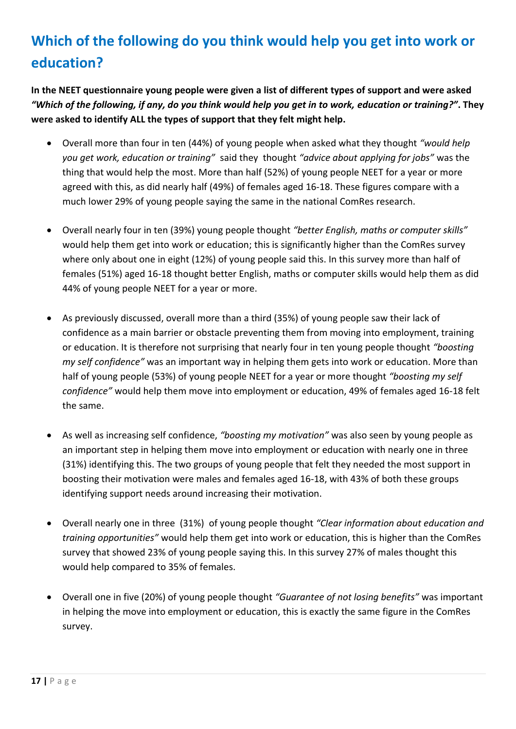# **Which of the following do you think would help you get into work or education?**

**In the NEET questionnaire young people were given a list of different types of support and were asked**  *"Which of the following, if any, do you think would help you get in to work, education or training?"***. They were asked to identify ALL the types of support that they felt might help.**

- Overall more than four in ten (44%) of young people when asked what they thought *"would help you get work, education or training"* said they thought *"advice about applying for jobs"* was the thing that would help the most. More than half (52%) of young people NEET for a year or more agreed with this, as did nearly half (49%) of females aged 16-18. These figures compare with a much lower 29% of young people saying the same in the national ComRes research.
- Overall nearly four in ten (39%) young people thought *"better English, maths or computer skills"* would help them get into work or education; this is significantly higher than the ComRes survey where only about one in eight (12%) of young people said this. In this survey more than half of females (51%) aged 16-18 thought better English, maths or computer skills would help them as did 44% of young people NEET for a year or more.
- As previously discussed, overall more than a third (35%) of young people saw their lack of confidence as a main barrier or obstacle preventing them from moving into employment, training or education. It is therefore not surprising that nearly four in ten young people thought *"boosting my self confidence"* was an important way in helping them gets into work or education. More than half of young people (53%) of young people NEET for a year or more thought *"boosting my self confidence"* would help them move into employment or education, 49% of females aged 16-18 felt the same.
- As well as increasing self confidence, *"boosting my motivation"* was also seen by young people as an important step in helping them move into employment or education with nearly one in three (31%) identifying this. The two groups of young people that felt they needed the most support in boosting their motivation were males and females aged 16-18, with 43% of both these groups identifying support needs around increasing their motivation.
- Overall nearly one in three (31%) of young people thought *"Clear information about education and training opportunities"* would help them get into work or education, this is higher than the ComRes survey that showed 23% of young people saying this. In this survey 27% of males thought this would help compared to 35% of females.
- Overall one in five (20%) of young people thought *"Guarantee of not losing benefits"* was important in helping the move into employment or education, this is exactly the same figure in the ComRes survey.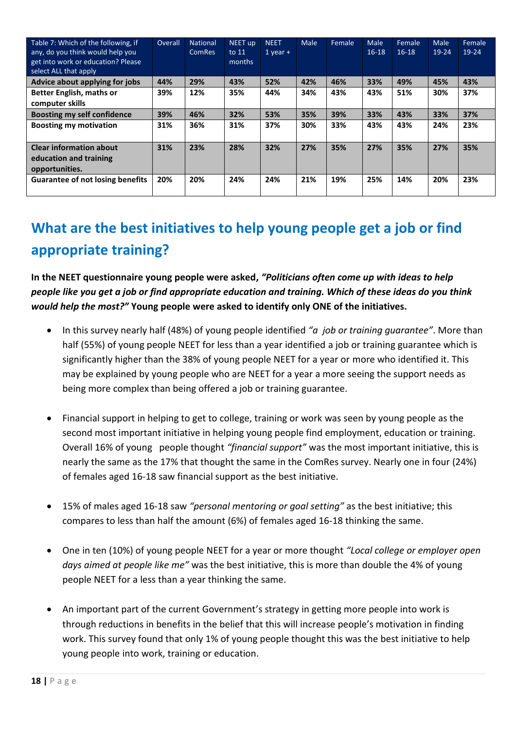| Table 7: Which of the following, if<br>any, do you think would help you<br>get into work or education? Please<br>select ALL that apply | Overall | <b>National</b><br><b>ComRes</b> | NEET up<br>to $11$<br>months | <b>NEET</b><br>$1$ year + | Male | Female | Male<br>$16-18$ | Female<br>$16 - 18$ | <b>Male</b><br>$19 - 24$ | Female<br>19-24 |
|----------------------------------------------------------------------------------------------------------------------------------------|---------|----------------------------------|------------------------------|---------------------------|------|--------|-----------------|---------------------|--------------------------|-----------------|
| Advice about applying for jobs                                                                                                         | 44%     | 29%                              | 43%                          | 52%                       | 42%  | 46%    | 33%             | 49%                 | 45%                      | 43%             |
| <b>Better English, maths or</b><br>computer skills                                                                                     | 39%     | 12%                              | 35%                          | 44%                       | 34%  | 43%    | 43%             | 51%                 | 30%                      | 37%             |
| <b>Boosting my self confidence</b>                                                                                                     | 39%     | 46%                              | 32%                          | 53%                       | 35%  | 39%    | 33%             | 43%                 | 33%                      | 37%             |
| <b>Boosting my motivation</b>                                                                                                          | 31%     | 36%                              | 31%                          | 37%                       | 30%  | 33%    | 43%             | 43%                 | 24%                      | 23%             |
| <b>Clear information about</b><br>education and training<br>opportunities.                                                             | 31%     | 23%                              | 28%                          | 32%                       | 27%  | 35%    | 27%             | 35%                 | 27%                      | 35%             |
| <b>Guarantee of not losing benefits</b>                                                                                                | 20%     | 20%                              | 24%                          | 24%                       | 21%  | 19%    | 25%             | 14%                 | 20%                      | 23%             |

# **What are the best initiatives to help young people get a job or find appropriate training?**

**In the NEET questionnaire young people were asked,** *"Politicians often come up with ideas to help people like you get a job or find appropriate education and training. Which of these ideas do you think would help the most?"* **Young people were asked to identify only ONE of the initiatives.**

- In this survey nearly half (48%) of young people identified *"a job or training guarantee"*. More than half (55%) of young people NEET for less than a year identified a job or training guarantee which is significantly higher than the 38% of young people NEET for a year or more who identified it. This may be explained by young people who are NEET for a year a more seeing the support needs as being more complex than being offered a job or training guarantee.
- Financial support in helping to get to college, training or work was seen by young people as the second most important initiative in helping young people find employment, education or training. Overall 16% of young people thought *"financial support"* was the most important initiative, this is nearly the same as the 17% that thought the same in the ComRes survey. Nearly one in four (24%) of females aged 16-18 saw financial support as the best initiative.
- 15% of males aged 16-18 saw *"personal mentoring or goal setting"* as the best initiative; this compares to less than half the amount (6%) of females aged 16-18 thinking the same.
- One in ten (10%) of young people NEET for a year or more thought *"Local college or employer open days aimed at people like me"* was the best initiative, this is more than double the 4% of young people NEET for a less than a year thinking the same.
- An important part of the current Government's strategy in getting more people into work is through reductions in benefits in the belief that this will increase people's motivation in finding work. This survey found that only 1% of young people thought this was the best initiative to help young people into work, training or education.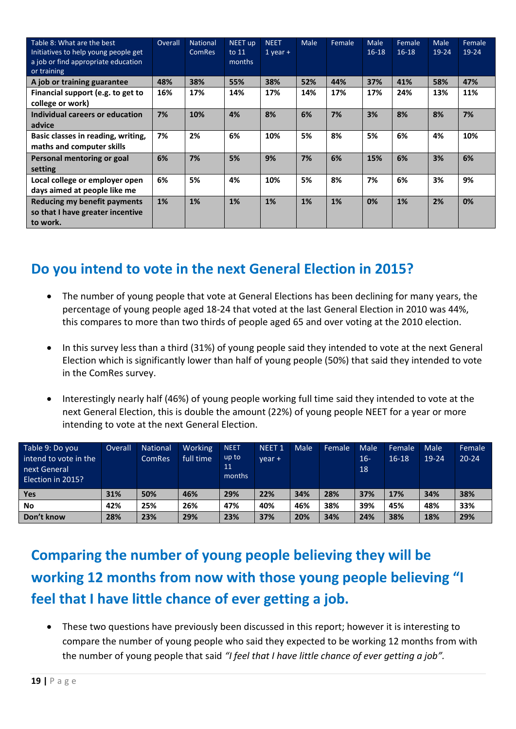| Table 8: What are the best<br>Initiatives to help young people get<br>a job or find appropriate education<br>or training | Overall | <b>National</b><br><b>ComRes</b> | NEET up<br>to $11$<br>months | <b>NEET</b><br>$1$ year $+$ | <b>Male</b> | Female | Male<br>$16-18$ | Female<br>$16 - 18$ | Male<br>$19 - 24$ | Female<br>$19 - 24$ |
|--------------------------------------------------------------------------------------------------------------------------|---------|----------------------------------|------------------------------|-----------------------------|-------------|--------|-----------------|---------------------|-------------------|---------------------|
| A job or training guarantee                                                                                              | 48%     | 38%                              | 55%                          | 38%                         | 52%         | 44%    | 37%             | 41%                 | 58%               | 47%                 |
| Financial support (e.g. to get to<br>college or work)                                                                    | 16%     | 17%                              | 14%                          | 17%                         | 14%         | 17%    | 17%             | 24%                 | 13%               | 11%                 |
| Individual careers or education<br>advice                                                                                | 7%      | 10%                              | 4%                           | 8%                          | 6%          | 7%     | 3%              | 8%                  | 8%                | 7%                  |
| Basic classes in reading, writing,<br>maths and computer skills                                                          | 7%      | 2%                               | 6%                           | 10%                         | 5%          | 8%     | 5%              | 6%                  | 4%                | 10%                 |
| Personal mentoring or goal<br>setting                                                                                    | 6%      | 7%                               | 5%                           | 9%                          | 7%          | 6%     | 15%             | 6%                  | 3%                | 6%                  |
| Local college or employer open<br>days aimed at people like me                                                           | 6%      | 5%                               | 4%                           | 10%                         | 5%          | 8%     | 7%              | 6%                  | 3%                | 9%                  |
| Reducing my benefit payments<br>so that I have greater incentive<br>to work.                                             | 1%      | 1%                               | 1%                           | 1%                          | 1%          | 1%     | 0%              | 1%                  | 2%                | 0%                  |

### **Do you intend to vote in the next General Election in 2015?**

- The number of young people that vote at General Elections has been declining for many years, the percentage of young people aged 18-24 that voted at the last General Election in 2010 was 44%, this compares to more than two thirds of people aged 65 and over voting at the 2010 election.
- In this survey less than a third (31%) of young people said they intended to vote at the next General Election which is significantly lower than half of young people (50%) that said they intended to vote in the ComRes survey.
- Interestingly nearly half (46%) of young people working full time said they intended to vote at the next General Election, this is double the amount (22%) of young people NEET for a year or more intending to vote at the next General Election.

| Table 9: Do you<br>intend to vote in the<br>next General<br>Election in 2015? | Overall | <b>National</b><br><b>ComRes</b> | Working<br>full time | <b>NEET</b><br>up to<br>11<br>months | <b>NEET 1</b><br>vear + | Male | Female | Male<br>$16-$<br>18 | Female<br>$16-18$ | Male<br>$19 - 24$ | Female<br>$20 - 24$ |
|-------------------------------------------------------------------------------|---------|----------------------------------|----------------------|--------------------------------------|-------------------------|------|--------|---------------------|-------------------|-------------------|---------------------|
| Yes                                                                           | 31%     | 50%                              | 46%                  | 29%                                  | 22%                     | 34%  | 28%    | 37%                 | 17%               | 34%               | 38%                 |
| <b>No</b>                                                                     | 42%     | 25%                              | 26%                  | 47%                                  | 40%                     | 46%  | 38%    | 39%                 | 45%               | 48%               | 33%                 |
| Don't know                                                                    | 28%     | 23%                              | 29%                  | 23%                                  | 37%                     | 20%  | 34%    | 24%                 | 38%               | 18%               | 29%                 |

**Comparing the number of young people believing they will be working 12 months from now with those young people believing "I feel that I have little chance of ever getting a job.**

 These two questions have previously been discussed in this report; however it is interesting to compare the number of young people who said they expected to be working 12 months from with the number of young people that said *"I feel that I have little chance of ever getting a job".*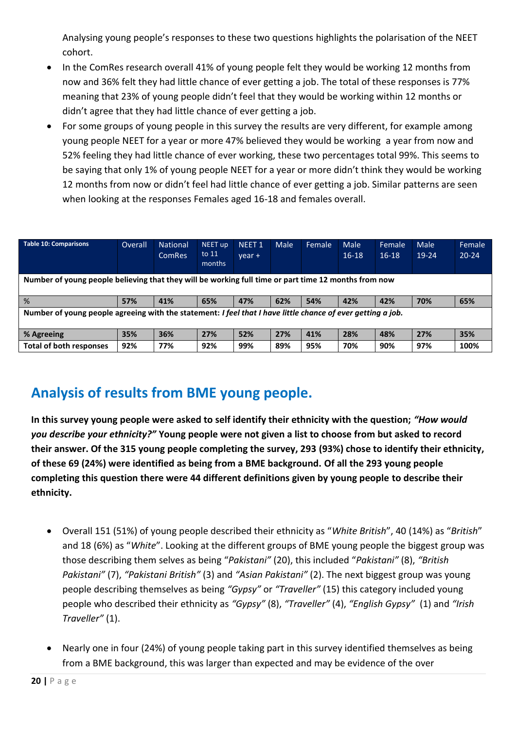Analysing young people's responses to these two questions highlights the polarisation of the NEET cohort.

- In the ComRes research overall 41% of young people felt they would be working 12 months from now and 36% felt they had little chance of ever getting a job. The total of these responses is 77% meaning that 23% of young people didn't feel that they would be working within 12 months or didn't agree that they had little chance of ever getting a job.
- For some groups of young people in this survey the results are very different, for example among young people NEET for a year or more 47% believed they would be working a year from now and 52% feeling they had little chance of ever working, these two percentages total 99%. This seems to be saying that only 1% of young people NEET for a year or more didn't think they would be working 12 months from now or didn't feel had little chance of ever getting a job. Similar patterns are seen when looking at the responses Females aged 16-18 and females overall.

| <b>Table 10: Comparisons</b>                                                                                | Overall | <b>National</b><br><b>ComRes</b> | NEET up<br>to $11$<br>months | NEET <sub>1</sub><br>$vear +$ | Male | Female | <b>Male</b><br>$16-18$ | Female<br>$16-18$ | Male<br>19-24 | Female<br>$20 - 24$ |
|-------------------------------------------------------------------------------------------------------------|---------|----------------------------------|------------------------------|-------------------------------|------|--------|------------------------|-------------------|---------------|---------------------|
| Number of young people believing that they will be working full time or part time 12 months from now        |         |                                  |                              |                               |      |        |                        |                   |               |                     |
| %                                                                                                           | 57%     | 41%                              | 65%                          | 47%                           | 62%  | 54%    | 42%                    | 42%               | 70%           | 65%                 |
| Number of young people agreeing with the statement: I feel that I have little chance of ever getting a job. |         |                                  |                              |                               |      |        |                        |                   |               |                     |
| % Agreeing                                                                                                  | 35%     | 36%                              | 27%                          | 52%                           | 27%  | 41%    | 28%                    | 48%               | 27%           | 35%                 |
| <b>Total of both responses</b>                                                                              | 92%     | 77%                              | 92%                          | 99%                           | 89%  | 95%    | 70%                    | 90%               | 97%           | 100%                |

### **Analysis of results from BME young people.**

**In this survey young people were asked to self identify their ethnicity with the question;** *"How would you describe your ethnicity?"* **Young people were not given a list to choose from but asked to record their answer. Of the 315 young people completing the survey, 293 (93%) chose to identify their ethnicity, of these 69 (24%) were identified as being from a BME background. Of all the 293 young people completing this question there were 44 different definitions given by young people to describe their ethnicity.**

- Overall 151 (51%) of young people described their ethnicity as "*White British*", 40 (14%) as "*British*" and 18 (6%) as "*White*". Looking at the different groups of BME young people the biggest group was those describing them selves as being "*Pakistani"* (20), this included "*Pakistani"* (8), *"British Pakistani"* (7), *"Pakistani British"* (3) and *"Asian Pakistani"* (2). The next biggest group was young people describing themselves as being *"Gypsy"* or *"Traveller"* (15) this category included young people who described their ethnicity as *"Gypsy"* (8), *"Traveller"* (4), *"English Gypsy"* (1) and *"Irish Traveller"* (1).
- Nearly one in four (24%) of young people taking part in this survey identified themselves as being from a BME background, this was larger than expected and may be evidence of the over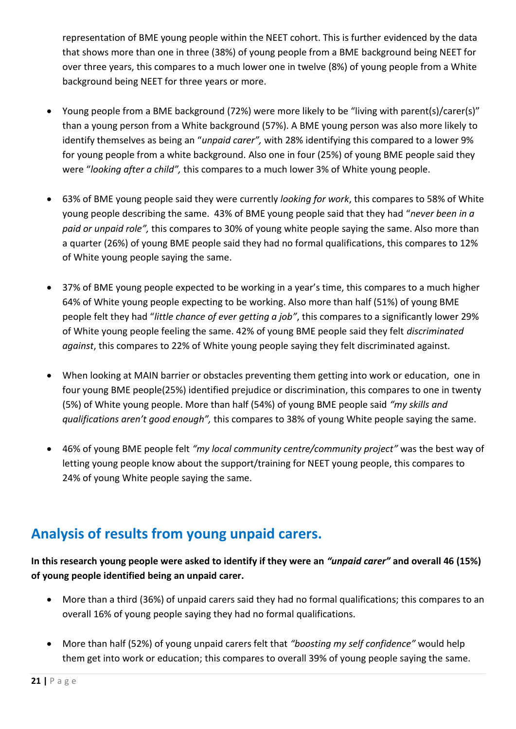representation of BME young people within the NEET cohort. This is further evidenced by the data that shows more than one in three (38%) of young people from a BME background being NEET for over three years, this compares to a much lower one in twelve (8%) of young people from a White background being NEET for three years or more.

- Young people from a BME background (72%) were more likely to be "living with parent(s)/carer(s)" than a young person from a White background (57%). A BME young person was also more likely to identify themselves as being an "*unpaid carer",* with 28% identifying this compared to a lower 9% for young people from a white background. Also one in four (25%) of young BME people said they were "*looking after a child",* this compares to a much lower 3% of White young people.
- 63% of BME young people said they were currently *looking for work*, this compares to 58% of White young people describing the same. 43% of BME young people said that they had "*never been in a paid or unpaid role",* this compares to 30% of young white people saying the same. Also more than a quarter (26%) of young BME people said they had no formal qualifications, this compares to 12% of White young people saying the same.
- 37% of BME young people expected to be working in a year's time, this compares to a much higher 64% of White young people expecting to be working. Also more than half (51%) of young BME people felt they had "*little chance of ever getting a job"*, this compares to a significantly lower 29% of White young people feeling the same. 42% of young BME people said they felt *discriminated against*, this compares to 22% of White young people saying they felt discriminated against.
- When looking at MAIN barrier or obstacles preventing them getting into work or education, one in four young BME people(25%) identified prejudice or discrimination, this compares to one in twenty (5%) of White young people. More than half (54%) of young BME people said *"my skills and qualifications aren't good enough",* this compares to 38% of young White people saying the same.
- 46% of young BME people felt *"my local community centre/community project"* was the best way of letting young people know about the support/training for NEET young people, this compares to 24% of young White people saying the same.

### **Analysis of results from young unpaid carers.**

#### **In this research young people were asked to identify if they were an** *"unpaid carer"* **and overall 46 (15%) of young people identified being an unpaid carer.**

- More than a third (36%) of unpaid carers said they had no formal qualifications; this compares to an overall 16% of young people saying they had no formal qualifications.
- More than half (52%) of young unpaid carers felt that *"boosting my self confidence"* would help them get into work or education; this compares to overall 39% of young people saying the same.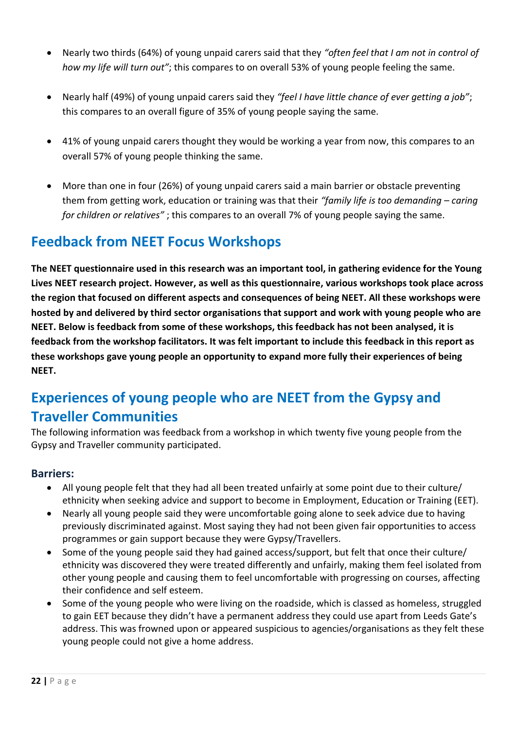- Nearly two thirds (64%) of young unpaid carers said that they *"often feel that I am not in control of how my life will turn out"*; this compares to on overall 53% of young people feeling the same.
- Nearly half (49%) of young unpaid carers said they *"feel I have little chance of ever getting a job"*; this compares to an overall figure of 35% of young people saying the same.
- 41% of young unpaid carers thought they would be working a year from now, this compares to an overall 57% of young people thinking the same.
- More than one in four (26%) of young unpaid carers said a main barrier or obstacle preventing them from getting work, education or training was that their *"family life is too demanding – caring for children or relatives"* ; this compares to an overall 7% of young people saying the same.

### **Feedback from NEET Focus Workshops**

**The NEET questionnaire used in this research was an important tool, in gathering evidence for the Young Lives NEET research project. However, as well as this questionnaire, various workshops took place across the region that focused on different aspects and consequences of being NEET. All these workshops were hosted by and delivered by third sector organisations that support and work with young people who are NEET. Below is feedback from some of these workshops, this feedback has not been analysed, it is feedback from the workshop facilitators. It was felt important to include this feedback in this report as these workshops gave young people an opportunity to expand more fully their experiences of being NEET.**

### **Experiences of young people who are NEET from the Gypsy and Traveller Communities**

The following information was feedback from a workshop in which twenty five young people from the Gypsy and Traveller community participated.

#### **Barriers:**

- All young people felt that they had all been treated unfairly at some point due to their culture/ ethnicity when seeking advice and support to become in Employment, Education or Training (EET).
- Nearly all young people said they were uncomfortable going alone to seek advice due to having previously discriminated against. Most saying they had not been given fair opportunities to access programmes or gain support because they were Gypsy/Travellers.
- Some of the young people said they had gained access/support, but felt that once their culture/ ethnicity was discovered they were treated differently and unfairly, making them feel isolated from other young people and causing them to feel uncomfortable with progressing on courses, affecting their confidence and self esteem.
- Some of the young people who were living on the roadside, which is classed as homeless, struggled to gain EET because they didn't have a permanent address they could use apart from Leeds Gate's address. This was frowned upon or appeared suspicious to agencies/organisations as they felt these young people could not give a home address.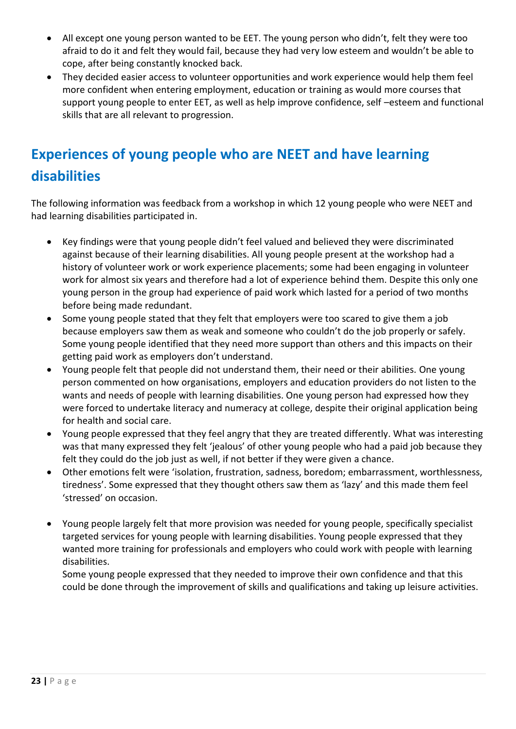- All except one young person wanted to be EET. The young person who didn't, felt they were too afraid to do it and felt they would fail, because they had very low esteem and wouldn't be able to cope, after being constantly knocked back.
- They decided easier access to volunteer opportunities and work experience would help them feel more confident when entering employment, education or training as would more courses that support young people to enter EET, as well as help improve confidence, self –esteem and functional skills that are all relevant to progression.

# **Experiences of young people who are NEET and have learning disabilities**

The following information was feedback from a workshop in which 12 young people who were NEET and had learning disabilities participated in.

- Key findings were that young people didn't feel valued and believed they were discriminated against because of their learning disabilities. All young people present at the workshop had a history of volunteer work or work experience placements; some had been engaging in volunteer work for almost six years and therefore had a lot of experience behind them. Despite this only one young person in the group had experience of paid work which lasted for a period of two months before being made redundant.
- Some young people stated that they felt that employers were too scared to give them a job because employers saw them as weak and someone who couldn't do the job properly or safely. Some young people identified that they need more support than others and this impacts on their getting paid work as employers don't understand.
- Young people felt that people did not understand them, their need or their abilities. One young person commented on how organisations, employers and education providers do not listen to the wants and needs of people with learning disabilities. One young person had expressed how they were forced to undertake literacy and numeracy at college, despite their original application being for health and social care.
- Young people expressed that they feel angry that they are treated differently. What was interesting was that many expressed they felt 'jealous' of other young people who had a paid job because they felt they could do the job just as well, if not better if they were given a chance.
- Other emotions felt were 'isolation, frustration, sadness, boredom; embarrassment, worthlessness, tiredness'. Some expressed that they thought others saw them as 'lazy' and this made them feel 'stressed' on occasion.
- Young people largely felt that more provision was needed for young people, specifically specialist targeted services for young people with learning disabilities. Young people expressed that they wanted more training for professionals and employers who could work with people with learning disabilities.

Some young people expressed that they needed to improve their own confidence and that this could be done through the improvement of skills and qualifications and taking up leisure activities.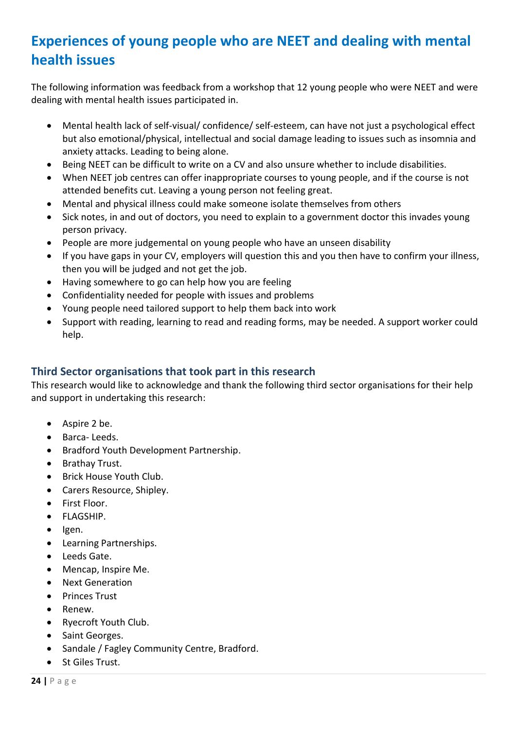### **Experiences of young people who are NEET and dealing with mental health issues**

The following information was feedback from a workshop that 12 young people who were NEET and were dealing with mental health issues participated in.

- Mental health lack of self-visual/ confidence/ self-esteem, can have not just a psychological effect but also emotional/physical, intellectual and social damage leading to issues such as insomnia and anxiety attacks. Leading to being alone.
- Being NEET can be difficult to write on a CV and also unsure whether to include disabilities.
- When NEET job centres can offer inappropriate courses to young people, and if the course is not attended benefits cut. Leaving a young person not feeling great.
- Mental and physical illness could make someone isolate themselves from others
- Sick notes, in and out of doctors, you need to explain to a government doctor this invades young person privacy.
- People are more judgemental on young people who have an unseen disability
- If you have gaps in your CV, employers will question this and you then have to confirm your illness, then you will be judged and not get the job.
- Having somewhere to go can help how you are feeling
- Confidentiality needed for people with issues and problems
- Young people need tailored support to help them back into work
- Support with reading, learning to read and reading forms, may be needed. A support worker could help.

#### **Third Sector organisations that took part in this research**

This research would like to acknowledge and thank the following third sector organisations for their help and support in undertaking this research:

- Aspire 2 be.
- Barca- Leeds.
- **•** Bradford Youth Development Partnership.
- Brathay Trust.
- Brick House Youth Club.
- Carers Resource, Shipley.
- First Floor.
- FLAGSHIP.
- $\bullet$  Igen.
- Learning Partnerships.
- Leeds Gate.
- Mencap, Inspire Me.
- Next Generation
- Princes Trust
- Renew.
- Ryecroft Youth Club.
- Saint Georges.
- Sandale / Fagley Community Centre, Bradford.
- St Giles Trust.